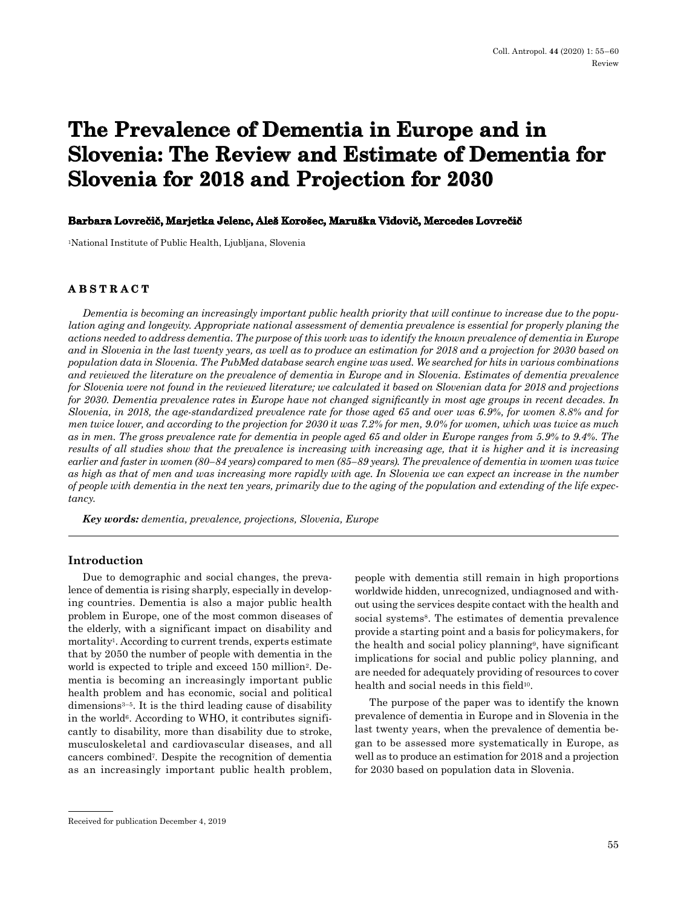# **The Prevalence of Dementia in Europe and in Slovenia: The Review and Estimate of Dementia for Slovenia for 2018 and Projection for 2030**

### **Barbara Lovrečič, Marjetka Jelenc, Aleš Korošec, Maruška Vidovič, Mercedes Lovrečič**

1National Institute of Public Health, Ljubljana, Slovenia

# **ABSTRACT**

*Dementia is becoming an increasingly important public health priority that will continue to increase due to the population aging and longevity. Appropriate national assessment of dementia prevalence is essential for properly planing the actions needed to address dementia. The purpose of this work was to identify the known prevalence of dementia in Europe and in Slovenia in the last twenty years, as well as to produce an estimation for 2018 and a projection for 2030 based on population data in Slovenia. The PubMed database search engine was used. We searched for hits in various combinations and reviewed the literature on the prevalence of dementia in Europe and in Slovenia. Estimates of dementia prevalence for Slovenia were not found in the reviewed literature; we calculated it based on Slovenian data for 2018 and projections for 2030. Dementia prevalence rates in Europe have not changed significantly in most age groups in recent decades. In Slovenia, in 2018, the age-standardized prevalence rate for those aged 65 and over was 6.9%, for women 8.8% and for men twice lower, and according to the projection for 2030 it was 7.2% for men, 9.0% for women, which was twice as much as in men. The gross prevalence rate for dementia in people aged 65 and older in Europe ranges from 5.9% to 9.4%. The results of all studies show that the prevalence is increasing with increasing age, that it is higher and it is increasing earlier and faster in women (80–84 years) compared to men (85–89 years). The prevalence of dementia in women was twice as high as that of men and was increasing more rapidly with age. In Slovenia we can expect an increase in the number of people with dementia in the next ten years, primarily due to the aging of the population and extending of the life expectancy.*

*Key words: dementia, prevalence, projections, Slovenia, Europe*

## **Introduction**

Due to demographic and social changes, the prevalence of dementia is rising sharply, especially in developing countries. Dementia is also a major public health problem in Europe, one of the most common diseases of the elderly, with a significant impact on disability and mortality<sup>1</sup>. According to current trends, experts estimate that by 2050 the number of people with dementia in the world is expected to triple and exceed 150 million<sup>2</sup>. Dementia is becoming an increasingly important public health problem and has economic, social and political dimensions3–5. It is the third leading cause of disability in the world<sup>6</sup>. According to WHO, it contributes significantly to disability, more than disability due to stroke, musculoskeletal and cardiovascular diseases, and all cancers combined7. Despite the recognition of dementia as an increasingly important public health problem, people with dementia still remain in high proportions worldwide hidden, unrecognized, undiagnosed and without using the services despite contact with the health and social systems<sup>8</sup>. The estimates of dementia prevalence provide a starting point and a basis for policymakers, for the health and social policy planning9, have significant implications for social and public policy planning, and are needed for adequately providing of resources to cover health and social needs in this field<sup>10</sup>.

The purpose of the paper was to identify the known prevalence of dementia in Europe and in Slovenia in the last twenty years, when the prevalence of dementia began to be assessed more systematically in Europe, as well as to produce an estimation for 2018 and a projection for 2030 based on population data in Slovenia.

Received for publication December 4, 2019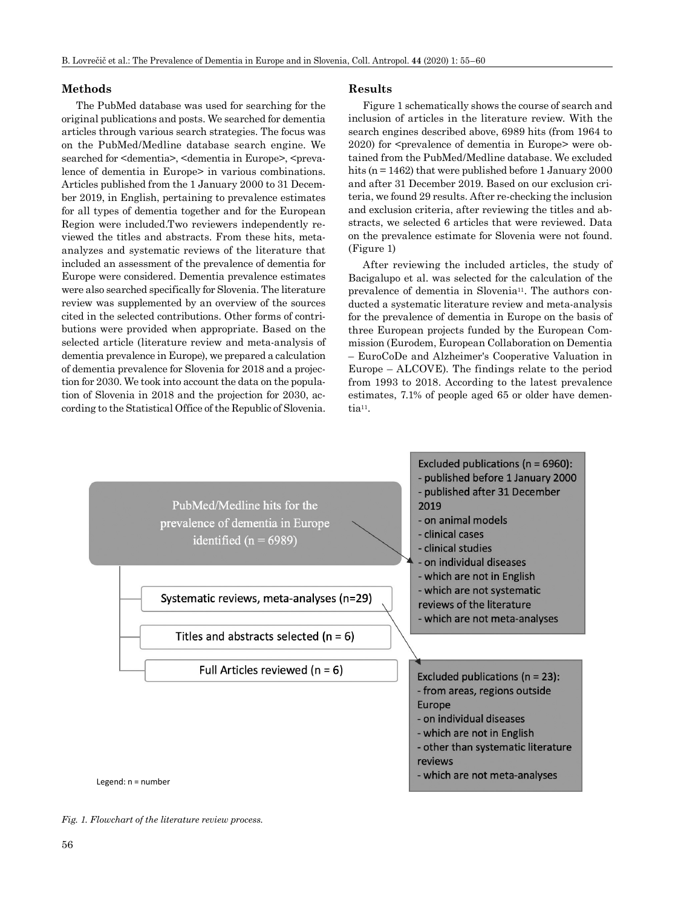# **Methods**

The PubMed database was used for searching for the original publications and posts. We searched for dementia articles through various search strategies. The focus was on the PubMed/Medline database search engine. We searched for <dementia>, <dementia in Europe>, <prevalence of dementia in Europe> in various combinations. Articles published from the 1 January 2000 to 31 December 2019, in English, pertaining to prevalence estimates for all types of dementia together and for the European Region were included.Two reviewers independently reviewed the titles and abstracts. From these hits, metaanalyzes and systematic reviews of the literature that included an assessment of the prevalence of dementia for Europe were considered. Dementia prevalence estimates were also searched specifically for Slovenia. The literature review was supplemented by an overview of the sources cited in the selected contributions. Other forms of contributions were provided when appropriate. Based on the selected article (literature review and meta-analysis of dementia prevalence in Europe), we prepared a calculation of dementia prevalence for Slovenia for 2018 and a projection for 2030. We took into account the data on the population of Slovenia in 2018 and the projection for 2030, according to the Statistical Office of the Republic of Slovenia.

#### **Results**

Figure 1 schematically shows the course of search and inclusion of articles in the literature review. With the search engines described above, 6989 hits (from 1964 to 2020) for <prevalence of dementia in Europe> were obtained from the PubMed/Medline database. We excluded hits (n = 1462) that were published before 1 January 2000 and after 31 December 2019. Based on our exclusion criteria, we found 29 results. After re-checking the inclusion and exclusion criteria, after reviewing the titles and abstracts, we selected 6 articles that were reviewed. Data on the prevalence estimate for Slovenia were not found. (Figure 1)

After reviewing the included articles, the study of Bacigalupo et al. was selected for the calculation of the prevalence of dementia in Slovenia<sup>11</sup>. The authors conducted a systematic literature review and meta-analysis for the prevalence of dementia in Europe on the basis of three European projects funded by the European Commission (Eurodem, European Collaboration on Dementia – EuroCoDe and Alzheimer's Cooperative Valuation in Europe – ALCOVE). The findings relate to the period from 1993 to 2018. According to the latest prevalence estimates, 7.1% of people aged 65 or older have dementia<sup>11</sup>.



*Fig. 1. Flowchart of the literature review process.*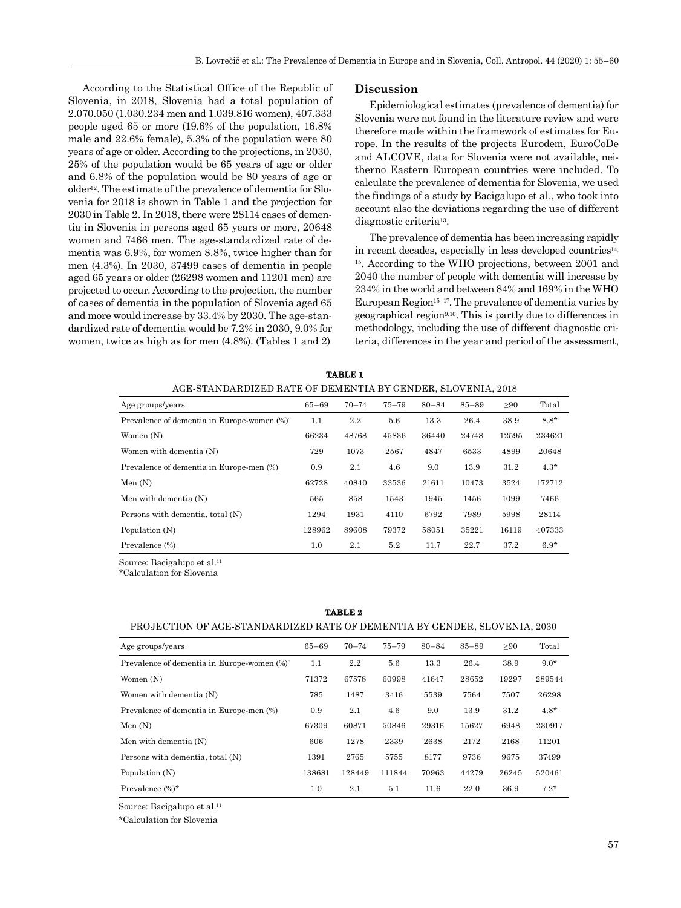According to the Statistical Office of the Republic of Slovenia, in 2018, Slovenia had a total population of 2.070.050 (1.030.234 men and 1.039.816 women), 407.333 people aged 65 or more (19.6% of the population, 16.8% male and 22.6% female), 5.3% of the population were 80 years of age or older. According to the projections, in 2030, 25% of the population would be 65 years of age or older and 6.8% of the population would be 80 years of age or older12. The estimate of the prevalence of dementia for Slovenia for 2018 is shown in Table 1 and the projection for 2030 in Table 2. In 2018, there were 28114 cases of dementia in Slovenia in persons aged 65 years or more, 20648 women and 7466 men. The age-standardized rate of dementia was 6.9%, for women 8.8%, twice higher than for men (4.3%). In 2030, 37499 cases of dementia in people aged 65 years or older (26298 women and 11201 men) are projected to occur. According to the projection, the number of cases of dementia in the population of Slovenia aged 65 and more would increase by 33.4% by 2030. The age-standardized rate of dementia would be 7.2% in 2030, 9.0% for women, twice as high as for men (4.8%). (Tables 1 and 2)

#### **Discussion**

Epidemiological estimates (prevalence of dementia) for Slovenia were not found in the literature review and were therefore made within the framework of estimates for Europe. In the results of the projects Eurodem, EuroCoDe and ALCOVE, data for Slovenia were not available, neitherno Eastern European countries were included. To calculate the prevalence of dementia for Slovenia, we used the findings of a study by Bacigalupo et al., who took into account also the deviations regarding the use of different diagnostic criteria13.

The prevalence of dementia has been increasing rapidly in recent decades, especially in less developed countries<sup>14,</sup> 15. According to the WHO projections, between 2001 and 2040 the number of people with dementia will increase by 234% in the world and between 84% and 169% in the WHO European Region $15-17$ . The prevalence of dementia varies by geographical region9,16. This is partly due to differences in methodology, including the use of different diagnostic criteria, differences in the year and period of the assessment,

| <b>TABLE 1</b> |                                                             |  |  |  |  |  |  |  |  |  |
|----------------|-------------------------------------------------------------|--|--|--|--|--|--|--|--|--|
|                | AGE-STANDARDIZED RATE OF DEMENTIA BY GENDER, SLOVENIA, 2018 |  |  |  |  |  |  |  |  |  |

| Age groups/years                            | $65 - 69$ | $70 - 74$ | $75 - 79$ | $80 - 84$ | $85 - 89$ | $\geq 90$ | Total  |
|---------------------------------------------|-----------|-----------|-----------|-----------|-----------|-----------|--------|
| Prevalence of dementia in Europe-women (%)" | 1.1       | 2.2       | 5.6       | 13.3      | 26.4      | 38.9      | $8.8*$ |
| Women $(N)$                                 | 66234     | 48768     | 45836     | 36440     | 24748     | 12595     | 234621 |
| Women with dementia (N)                     | 729       | 1073      | 2567      | 4847      | 6533      | 4899      | 20648  |
| Prevalence of dementia in Europe-men (%)    | 0.9       | 2.1       | 4.6       | 9.0       | 13.9      | 31.2      | $4.3*$ |
| Men $(N)$                                   | 62728     | 40840     | 33536     | 21611     | 10473     | 3524      | 172712 |
| Men with dementia (N)                       | 565       | 858       | 1543      | 1945      | 1456      | 1099      | 7466   |
| Persons with dementia, total (N)            | 1294      | 1931      | 4110      | 6792      | 7989      | 5998      | 28114  |
| Population (N)                              | 128962    | 89608     | 79372     | 58051     | 35221     | 16119     | 407333 |
| Prevalence (%)                              | 1.0       | 2.1       | 5.2       | 11.7      | 22.7      | 37.2      | $6.9*$ |

Source: Bacigalupo et al.<sup>11</sup>

\*Calculation for Slovenia

#### **TABLE 2**

#### PROJECTION OF AGE-STANDARDIZED RATE OF DEMENTIA BY GENDER, SLOVENIA, 2030

| Age groups/years                            | $65 - 69$ | $70 - 74$ | $75 - 79$ | $80 - 84$ | $85 - 89$ | $\geq 90$ | Total  |
|---------------------------------------------|-----------|-----------|-----------|-----------|-----------|-----------|--------|
| Prevalence of dementia in Europe-women (%)" | 1.1       | 2.2       | 5.6       | 13.3      | 26.4      | 38.9      | $9.0*$ |
| Women $(N)$                                 | 71372     | 67578     | 60998     | 41647     | 28652     | 19297     | 289544 |
| Women with dementia (N)                     | 785       | 1487      | 3416      | 5539      | 7564      | 7507      | 26298  |
| Prevalence of dementia in Europe-men (%)    | 0.9       | 2.1       | 4.6       | 9.0       | 13.9      | 31.2      | $4.8*$ |
| Men(N)                                      | 67309     | 60871     | 50846     | 29316     | 15627     | 6948      | 230917 |
| Men with dementia (N)                       | 606       | 1278      | 2339      | 2638      | 2172      | 2168      | 11201  |
| Persons with dementia, total (N)            | 1391      | 2765      | 5755      | 8177      | 9736      | 9675      | 37499  |
| Population (N)                              | 138681    | 128449    | 111844    | 70963     | 44279     | 26245     | 520461 |
| Prevalence $(\%)^*$                         | 1.0       | 2.1       | 5.1       | 11.6      | 22.0      | 36.9      | $7.2*$ |

Source: Bacigalupo et al.11

\*Calculation for Slovenia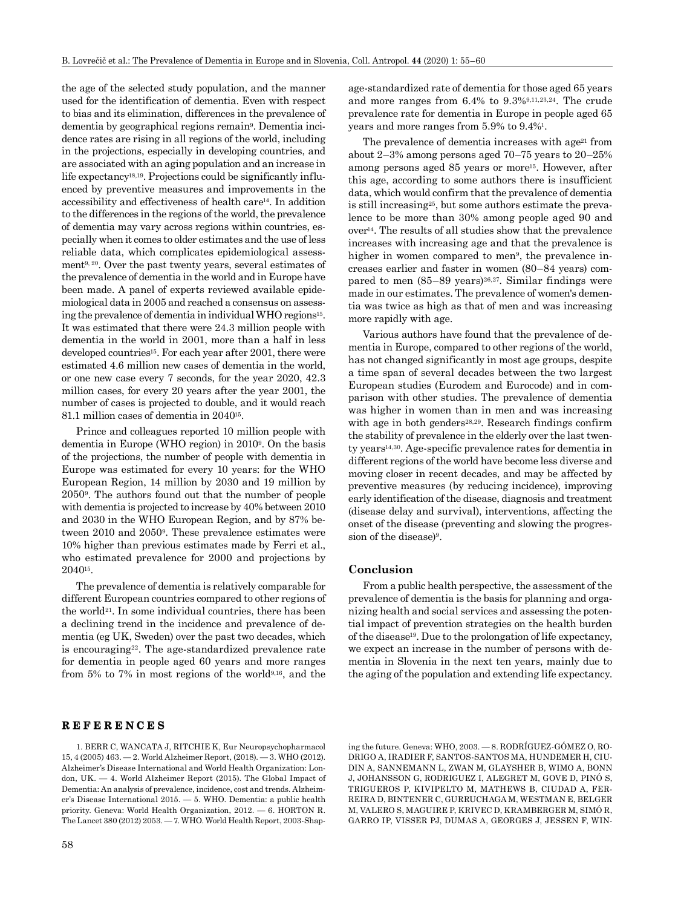the age of the selected study population, and the manner used for the identification of dementia. Even with respect to bias and its elimination, differences in the prevalence of dementia by geographical regions remain9. Dementia incidence rates are rising in all regions of the world, including in the projections, especially in developing countries, and are associated with an aging population and an increase in life expectancy<sup>18,19</sup>. Projections could be significantly influenced by preventive measures and improvements in the accessibility and effectiveness of health care14. In addition to the differences in the regions of the world, the prevalence of dementia may vary across regions within countries, especially when it comes to older estimates and the use of less reliable data, which complicates epidemiological assessment9, 20. Over the past twenty years, several estimates of the prevalence of dementia in the world and in Europe have been made. A panel of experts reviewed available epidemiological data in 2005 and reached a consensus on assessing the prevalence of dementia in individual WHO regions15. It was estimated that there were 24.3 million people with dementia in the world in 2001, more than a half in less developed countries<sup>15</sup>. For each year after 2001, there were estimated 4.6 million new cases of dementia in the world, or one new case every 7 seconds, for the year 2020, 42.3 million cases, for every 20 years after the year 2001, the number of cases is projected to double, and it would reach 81.1 million cases of dementia in 204015.

Prince and colleagues reported 10 million people with dementia in Europe (WHO region) in 20109. On the basis of the projections, the number of people with dementia in Europe was estimated for every 10 years: for the WHO European Region, 14 million by 2030 and 19 million by 20509. The authors found out that the number of people with dementia is projected to increase by 40% between 2010 and 2030 in the WHO European Region, and by 87% between 2010 and 20509. These prevalence estimates were 10% higher than previous estimates made by Ferri et al., who estimated prevalence for 2000 and projections by 204015.

The prevalence of dementia is relatively comparable for different European countries compared to other regions of the world21. In some individual countries, there has been a declining trend in the incidence and prevalence of dementia (eg UK, Sweden) over the past two decades, which is encouraging22. The age-standardized prevalence rate for dementia in people aged 60 years and more ranges from 5% to 7% in most regions of the world9,16, and the

## **REFERENCES**

1. BERR C, WANCATA J, RITCHIE K, Eur Neuropsychopharmacol 15, 4 (2005) 463. — 2. World Alzheimer Report, (2018). — 3. WHO (2012). Alzheimer's Disease International and World Health Organization: London, UK. — 4. World Alzheimer Report (2015). The Global Impact of Dementia: An analysis of prevalence, incidence, cost and trends. Alzheimer's Disease International 2015. — 5. WHO. Dementia: a public health priority. Geneva: World Health Organization, 2012. — 6. HORTON R. The Lancet 380 (2012) 2053. — 7. WHO. World Health Report, 2003-Shap-

age-standardized rate of dementia for those aged 65 years and more ranges from 6.4% to 9.3%9,11,23,24. The crude prevalence rate for dementia in Europe in people aged 65 years and more ranges from 5.9% to 9.4%1.

The prevalence of dementia increases with  $age^{21}$  from about 2–3% among persons aged 70–75 years to 20–25% among persons aged 85 years or more15. However, after this age, according to some authors there is insufficient data, which would confirm that the prevalence of dementia is still increasing25, but some authors estimate the prevalence to be more than 30% among people aged 90 and  $over<sup>14</sup>$ . The results of all studies show that the prevalence increases with increasing age and that the prevalence is higher in women compared to men<sup>9</sup>, the prevalence increases earlier and faster in women (80–84 years) compared to men  $(85-89 \text{ years})^{26,27}$ . Similar findings were made in our estimates. The prevalence of women's dementia was twice as high as that of men and was increasing more rapidly with age.

Various authors have found that the prevalence of dementia in Europe, compared to other regions of the world, has not changed significantly in most age groups, despite a time span of several decades between the two largest European studies (Eurodem and Eurocode) and in comparison with other studies. The prevalence of dementia was higher in women than in men and was increasing with age in both genders<sup>28,29</sup>. Research findings confirm the stability of prevalence in the elderly over the last twenty years14,30. Age-specific prevalence rates for dementia in different regions of the world have become less diverse and moving closer in recent decades, and may be affected by preventive measures (by reducing incidence), improving early identification of the disease, diagnosis and treatment (disease delay and survival), interventions, affecting the onset of the disease (preventing and slowing the progression of the disease)<sup>9</sup>.

#### **Conclusion**

From a public health perspective, the assessment of the prevalence of dementia is the basis for planning and organizing health and social services and assessing the potential impact of prevention strategies on the health burden of the disease19. Due to the prolongation of life expectancy, we expect an increase in the number of persons with dementia in Slovenia in the next ten years, mainly due to the aging of the population and extending life expectancy.

ing the future. Geneva: WHO, 2003. — 8. RODRÍGUEZ-GÓMEZ O, RO-DRIGO A, IRADIER F, SANTOS-SANTOS MA, HUNDEMER H, CIU-DIN A, SANNEMANN L, ZWAN M, GLAYSHER B, WIMO A, BONN J, JOHANSSON G, RODRIGUEZ I, ALEGRET M, GOVE D, PINÓ S, TRIGUEROS P, KIVIPELTO M, MATHEWS B, CIUDAD A, FER-REIRA D, BINTENER C, GURRUCHAGA M, WESTMAN E, BELGER M, VALERO S, MAGUIRE P, KRIVEC D, KRAMBERGER M, SIMÓ R, GARRO IP, VISSER PJ, DUMAS A, GEORGES J, JESSEN F, WIN-